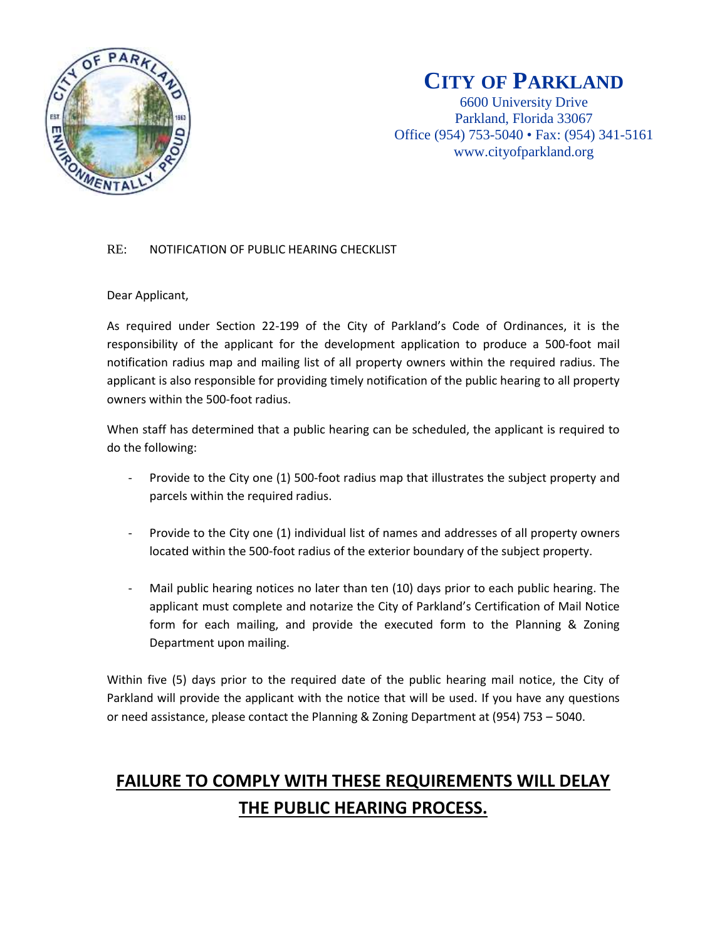

### **CITY OF PARKLAND**

6600 University Drive Parkland, Florida 33067 Office (954) 753-5040 • Fax: (954) 341-5161 www.cityofparkland.org

#### RE: NOTIFICATION OF PUBLIC HEARING CHECKLIST

#### Dear Applicant,

As required under Section 22-199 of the City of Parkland's Code of Ordinances, it is the responsibility of the applicant for the development application to produce a 500-foot mail notification radius map and mailing list of all property owners within the required radius. The applicant is also responsible for providing timely notification of the public hearing to all property owners within the 500-foot radius.

When staff has determined that a public hearing can be scheduled, the applicant is required to do the following:

- Provide to the City one (1) 500-foot radius map that illustrates the subject property and parcels within the required radius.
- Provide to the City one (1) individual list of names and addresses of all property owners located within the 500-foot radius of the exterior boundary of the subject property.
- Mail public hearing notices no later than ten (10) days prior to each public hearing. The applicant must complete and notarize the City of Parkland's Certification of Mail Notice form for each mailing, and provide the executed form to the Planning & Zoning Department upon mailing.

Within five (5) days prior to the required date of the public hearing mail notice, the City of Parkland will provide the applicant with the notice that will be used. If you have any questions or need assistance, please contact the Planning & Zoning Department at (954) 753 – 5040.

# **FAILURE TO COMPLY WITH THESE REQUIREMENTS WILL DELAY THE PUBLIC HEARING PROCESS.**